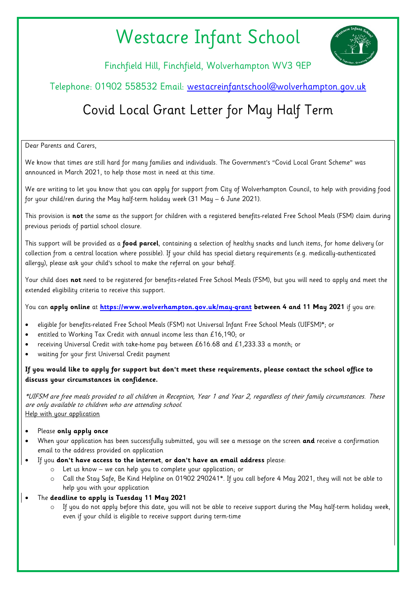## Westacre Infant School



Finchfield Hill, Finchfield, Wolverhampton WV3 9EP

## Telephone: 01902 558532 Email: [westacreinfantschool@wolverhampton.gov.uk](mailto:westacreinfantschool@wolverhampton.gov.uk)

## Covid Local Grant Letter for May Half Term

Dear Parents and Carers,

We know that times are still hard for many families and individuals. The Government's "Covid Local Grant Scheme" was announced in March 2021, to help those most in need at this time.

We are writing to let you know that you can apply for support from City of Wolverhampton Council, to help with providing food for your child/ren during the May half-term holiday week (31 May – 6 June 2021).

This provision is **not** the same as the support for children with a registered benefits-related Free School Meals (FSM) claim during previous periods of partial school closure.

This support will be provided as a **food parcel**, containing a selection of healthy snacks and lunch items, for home delivery (or collection from a central location where possible). If your child has special dietary requirements (e.g. medically-authenticated allergy), please ask your child's school to make the referral on your behalf.

Your child does **not** need to be registered for benefits-related Free School Meals (FSM), but you will need to apply and meet the extended eligibility criteria to receive this support.

You can **apply online** at **<https://www.wolverhampton.gov.uk/may-grant> between 4 and 11 May 2021** if you are:

- eligible for benefits-related Free School Meals (FSM) not Universal Infant Free School Meals (UIFSM)\*; or
- entitled to Working Tax Credit with annual income less than £16,190; or
- receiving Universal Credit with take-home pay between £616.68 and £1,233.33 a month; or
- waiting for your first Universal Credit payment

## **If you would like to apply for support but don't meet these requirements, please contact the school office to discuss your circumstances in confidence.**

\*UIFSM are free meals provided to all children in Reception, Year 1 and Year 2, regardless of their family circumstances. These are only available to children who are attending school. Help with your application

- Please **only apply once**
- When your application has been successfully submitted, you will see a message on the screen **and** receive a confirmation email to the address provided on application
- If you **don't have access to the internet**, **or don't have an email address** please:
	- o Let us know we can help you to complete your application; or
	- o Call the Stay Safe, Be Kind Helpline on 01902 290241\*. If you call before 4 May 2021, they will not be able to help you with your application
- The **deadline to apply is Tuesday 11 May 2021**
	- If you do not apply before this date, you will not be able to receive support during the May half-term holiday week, even if your child is eligible to receive support during term-time